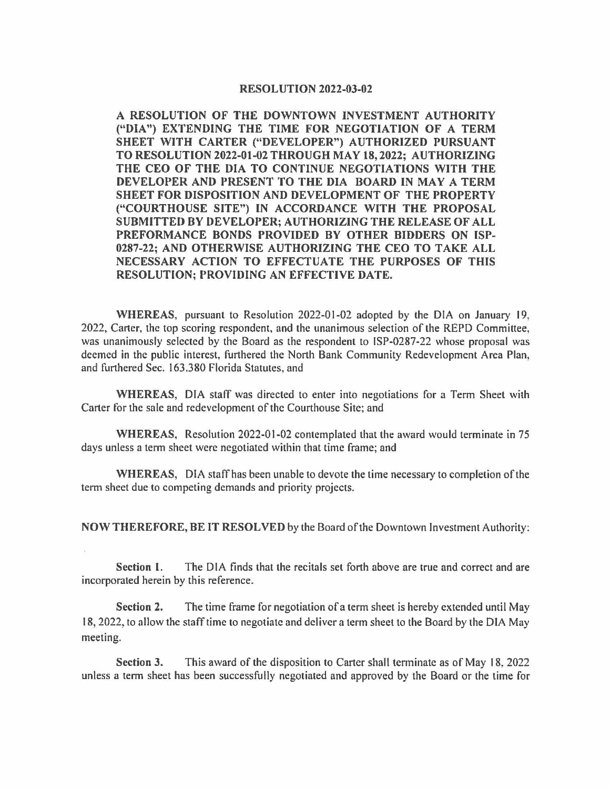## **RESOLUTION 2022-03-02**

**A RESOLUTION OF THE DOWNTOWN INVESTMENT AUTHORITY ("DIA") EXTENDING THE TIME FOR NEGOTIATION OF A TERM SHEET WITH CARTER ("DEVELOPER") AUTHORIZED PURSUANT TO RESOLUTION 2022-01-02 THROUGH MAY 18, 2022; AUTHORIZING THE CEO OF THE DIA TO CONTINUE NEGOTIATIONS WITH THE DEVELOPER AND PRESENT TO THE DIA BOARD IN MAY A TERM SHEET FOR DISPOSITION AND DEVELOPMENT OF THE PROPERTY ("COURTHOUSE SITE") IN ACCORDANCE WITH THE PROPOSAL SUBMITTED BY DEVELOPER; AUTHORIZING THE RELEASE OF ALL PREFORMANCE BONDS PROVIDED BY OTHER BIDDERS ON ISP-0287-22; AND OTHERWISE AUTHORIZING THE CEO TO TAKE ALL NECESSARY ACTION TO EFFECTUATE THE PURPOSES OF THIS RESOLUTION; PROVIDING AN EFFECTIVE DATE.** 

**WHEREAS,** pursuant to Resolution 2022-01-02 adopted by the DIA on January 19, 2022, Carter, the top scoring respondent, and the unanimous selection of the REPD Committee, was unanimously selected by the Board as the respondent to ISP-0287-22 whose proposal was deemed in the public interest, furthered the North Bank Community Redevelopment Area Plan, and furthered Sec. 163 .3 80 Florida Statutes, and

**WHEREAS,** DIA staff was directed to enter into negotiations for a Term Sheet with Carter for the sale and redevelopment of the Courthouse Site; and

**WHEREAS,** Resolution 2022-01-02 contemplated that the award would terminate in 75 days unless a term sheet were negotiated within that time frame; and

**WHEREAS,** DIA staff has been unable to devote the time necessary to completion of the term sheet due to competing demands and priority projects.

**NOW THEREFORE, BE IT RESOLVED** by the Board of the Downtown Investment Authority:

**Section 1.** The DIA finds that the recitals set forth above are true and correct and are incorporated herein by this reference.

**Section 2.** The time frame for negotiation of a term sheet is hereby extended until May I 8, 2022, to allow the staff time to negotiate and deliver a term sheet to the Board by the DIA May meeting.

**Section 3.** This award of the disposition to Carter shall terminate as of May 18, 2022 unless a term sheet has been successfully negotiated and approved by the Board or the time for